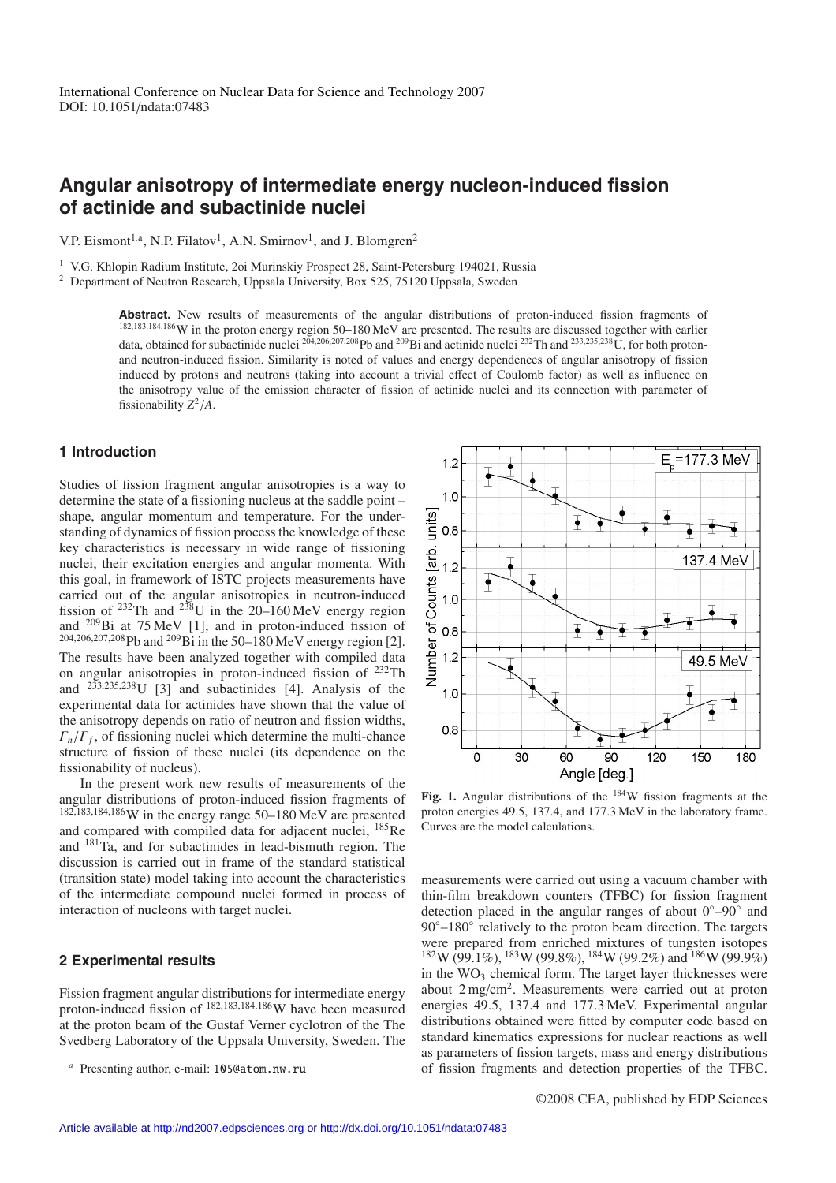# **Angular anisotropy of intermediate energy nucleon-induced fission of actinide and subactinide nuclei**

V.P. Eismont<sup>1,a</sup>, N.P. Filatov<sup>1</sup>, A.N. Smirnov<sup>1</sup>, and J. Blomgren<sup>2</sup>

<sup>1</sup> V.G. Khlopin Radium Institute, 2oi Murinskiy Prospect 28, Saint-Petersburg 194021, Russia

<sup>2</sup> Department of Neutron Research, Uppsala University, Box 525, 75120 Uppsala, Sweden

Abstract. New results of measurements of the angular distributions of proton-induced fission fragments of <sup>182</sup>,183,184,186W in the proton energy region 50–180 MeV are presented. The results are discussed together with earlier data, obtained for subactinide nuclei  $^{204,206,207,208}$  Pb and  $^{209}$ Bi and actinide nuclei  $^{232}$ Th and  $^{233,235,238}$ U, for both protonand neutron-induced fission. Similarity is noted of values and energy dependences of angular anisotropy of fission induced by protons and neutrons (taking into account a trivial effect of Coulomb factor) as well as influence on the anisotropy value of the emission character of fission of actinide nuclei and its connection with parameter of fissionability *Z*<sup>2</sup>/*A*.

# **1 Introduction**

Studies of fission fragment angular anisotropies is a way to determine the state of a fissioning nucleus at the saddle point – shape, angular momentum and temperature. For the understanding of dynamics of fission process the knowledge of these key characteristics is necessary in wide range of fissioning nuclei, their excitation energies and angular momenta. With this goal, in framework of ISTC projects measurements have carried out of the angular anisotropies in neutron-induced fission of  $^{232}$ Th and  $^{238}$ U in the 20–160 MeV energy region and  $^{209}$ Bi at 75 MeV [1], and in proton-induced fission of <sup>204</sup>,206,207,208Pb and 209Bi in the 50–180 MeV energy region [2]. The results have been analyzed together with compiled data on angular anisotropies in proton-induced fission of 232Th and <sup>233</sup>,235,238U [3] and subactinides [4]. Analysis of the experimental data for actinides have shown that the value of the anisotropy depends on ratio of neutron and fission widths,  $\Gamma_n/\Gamma_f$ , of fissioning nuclei which determine the multi-chance structure of fission of these nuclei (its dependence on the fissionability of nucleus).

In the present work new results of measurements of the angular distributions of proton-induced fission fragments of <sup>182</sup>,183,184,186W in the energy range 50–180 MeV are presented and compared with compiled data for adjacent nuclei, 185Re and 181Ta, and for subactinides in lead-bismuth region. The discussion is carried out in frame of the standard statistical (transition state) model taking into account the characteristics of the intermediate compound nuclei formed in process of interaction of nucleons with target nuclei.

### **2 Experimental results**

Fission fragment angular distributions for intermediate energy proton-induced fission of <sup>182</sup>,183,184,186W have been measured at the proton beam of the Gustaf Verner cyclotron of the The Svedberg Laboratory of the Uppsala University, Sweden. The



Fig. 1. Angular distributions of the <sup>184</sup>W fission fragments at the proton energies 49.5, 137.4, and 177.3 MeV in the laboratory frame. Curves are the model calculations.

measurements were carried out using a vacuum chamber with thin-film breakdown counters (TFBC) for fission fragment detection placed in the angular ranges of about 0◦–90◦ and  $90^\circ$ –180 $^\circ$  relatively to the proton beam direction. The targets were prepared from enriched mixtures of tungsten isotopes  $182W (99.1\%)$ ,  $183W (99.8\%)$ ,  $184W (99.2\%)$  and  $186W (99.9\%)$ in the  $WO<sub>3</sub>$  chemical form. The target layer thicknesses were about 2 mg/cm2. Measurements were carried out at proton energies 49.5, 137.4 and 177.3 MeV. Experimental angular distributions obtained were fitted by computer code based on standard kinematics expressions for nuclear reactions as well as parameters of fission targets, mass and energy distributions of fission fragments and detection properties of the TFBC.

Presenting author, e-mail: 105@atom.nw.ru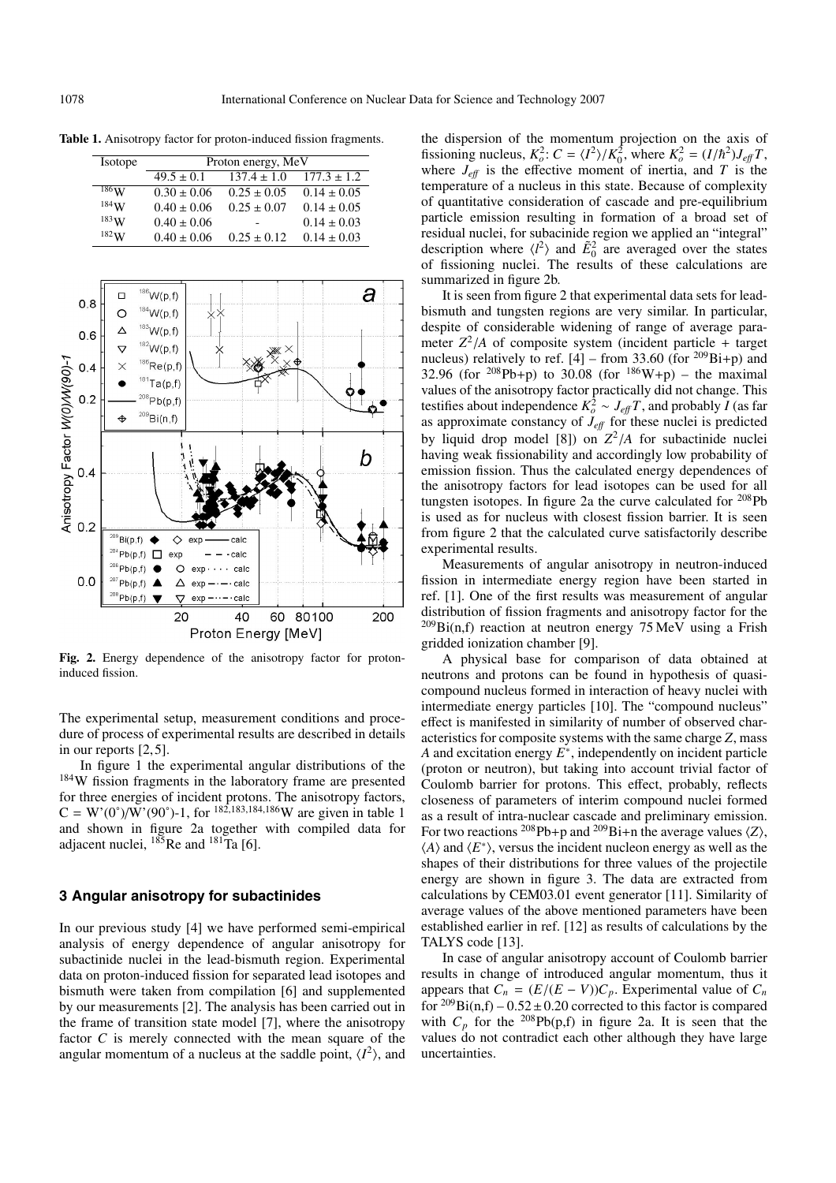**Table 1.** Anisotropy factor for proton-induced fission fragments.

| Isotope            | Proton energy, MeV |                 |                 |
|--------------------|--------------------|-----------------|-----------------|
|                    | $49.5 \pm 0.1$     | $137.4 \pm 1.0$ | $177.3 \pm 1.2$ |
| $^{186}\mathrm{W}$ | $0.30 \pm 0.06$    | $0.25 \pm 0.05$ | $0.14 \pm 0.05$ |
| $184$ W            | $0.40 \pm 0.06$    | $0.25 \pm 0.07$ | $0.14 \pm 0.05$ |
| 183W               | $0.40 \pm 0.06$    |                 | $0.14 \pm 0.03$ |
| 182W               | $0.40 \pm 0.06$    | $0.25 \pm 0.12$ | $0.14 \pm 0.03$ |



**Fig. 2.** Energy dependence of the anisotropy factor for protoninduced fission.

The experimental setup, measurement conditions and procedure of process of experimental results are described in details in our reports [2, 5].

In figure 1 the experimental angular distributions of the <sup>184</sup>W fission fragments in the laboratory frame are presented for three energies of incident protons. The anisotropy factors,  $C = W'(0^{\circ})/W'(90^{\circ})$ -1, for <sup>182,183,184,186</sup>W are given in table 1 and shown in figure 2a together with compiled data for adjacent nuclei,  $^{185}$ Re and  $^{181}$ Ta [6].

### **3 Angular anisotropy for subactinides**

In our previous study [4] we have performed semi-empirical analysis of energy dependence of angular anisotropy for subactinide nuclei in the lead-bismuth region. Experimental data on proton-induced fission for separated lead isotopes and bismuth were taken from compilation [6] and supplemented by our measurements [2]. The analysis has been carried out in the frame of transition state model [7], where the anisotropy factor *C* is merely connected with the mean square of the angular momentum of a nucleus at the saddle point,  $\langle I^2 \rangle$ , and

the dispersion of the momentum projection on the axis of fissioning nucleus,  $K_o^2$ :  $C = \langle I^2 \rangle / K_0^2$ , where  $K_o^2 = (I/\hbar^2) J_{\text{eff}} T$ , where  $J_{\text{eff}}$  is the effective moment of inertia, and *T* is the temperature of a nucleus in this state. Because of complexity of quantitative consideration of cascade and pre-equilibrium particle emission resulting in formation of a broad set of residual nuclei, for subacinide region we applied an "integral" description where  $\langle l^2 \rangle$  and  $\tilde{E}_0^2$  are averaged over the states of fissioning nuclei. The results of these calculations are summarized in figure 2b.

It is seen from figure 2 that experimental data sets for leadbismuth and tungsten regions are very similar. In particular, despite of considerable widening of range of average parameter  $Z^2/A$  of composite system (incident particle + target nucleus) relatively to ref.  $[4]$  – from 33.60 (for <sup>209</sup>Bi+p) and 32.96 (for <sup>208</sup>Pb+p) to 30.08 (for <sup>186</sup>W+p) – the maximal values of the anisotropy factor practically did not change. This testifies about independence  $K_o^2 \sim J_{\text{eff}} T$ , and probably *I* (as far as approximate constancy of  $J_{\text{eff}}$  for these nuclei is predicted by liquid drop model [8]) on  $Z^2/A$  for subactinide nuclei having weak fissionability and accordingly low probability of emission fission. Thus the calculated energy dependences of the anisotropy factors for lead isotopes can be used for all tungsten isotopes. In figure 2a the curve calculated for 208Pb is used as for nucleus with closest fission barrier. It is seen from figure 2 that the calculated curve satisfactorily describe experimental results.

Measurements of angular anisotropy in neutron-induced fission in intermediate energy region have been started in ref. [1]. One of the first results was measurement of angular distribution of fission fragments and anisotropy factor for the  $^{209}$ Bi(n,f) reaction at neutron energy 75 MeV using a Frish gridded ionization chamber [9].

A physical base for comparison of data obtained at neutrons and protons can be found in hypothesis of quasicompound nucleus formed in interaction of heavy nuclei with intermediate energy particles [10]. The "compound nucleus" effect is manifested in similarity of number of observed characteristics for composite systems with the same charge *Z*, mass *A* and excitation energy *E*∗, independently on incident particle (proton or neutron), but taking into account trivial factor of Coulomb barrier for protons. This effect, probably, reflects closeness of parameters of interim compound nuclei formed as a result of intra-nuclear cascade and preliminary emission. For two reactions <sup>208</sup>Pb+p and <sup>209</sup>Bi+n the average values  $\langle Z \rangle$ ,  $\langle A \rangle$  and  $\langle E^* \rangle$ , versus the incident nucleon energy as well as the shapes of their distributions for three values of the projectile energy are shown in figure 3. The data are extracted from calculations by CEM03.01 event generator [11]. Similarity of average values of the above mentioned parameters have been established earlier in ref. [12] as results of calculations by the TALYS code [13].

In case of angular anisotropy account of Coulomb barrier results in change of introduced angular momentum, thus it appears that  $C_n = (E/(E - V))C_p$ . Experimental value of  $C_n$ for  ${}^{209}Bi(n,f) - 0.52 \pm 0.20$  corrected to this factor is compared with  $C_p$  for the <sup>208</sup>Pb(p,f) in figure 2a. It is seen that the values do not contradict each other although they have large uncertainties.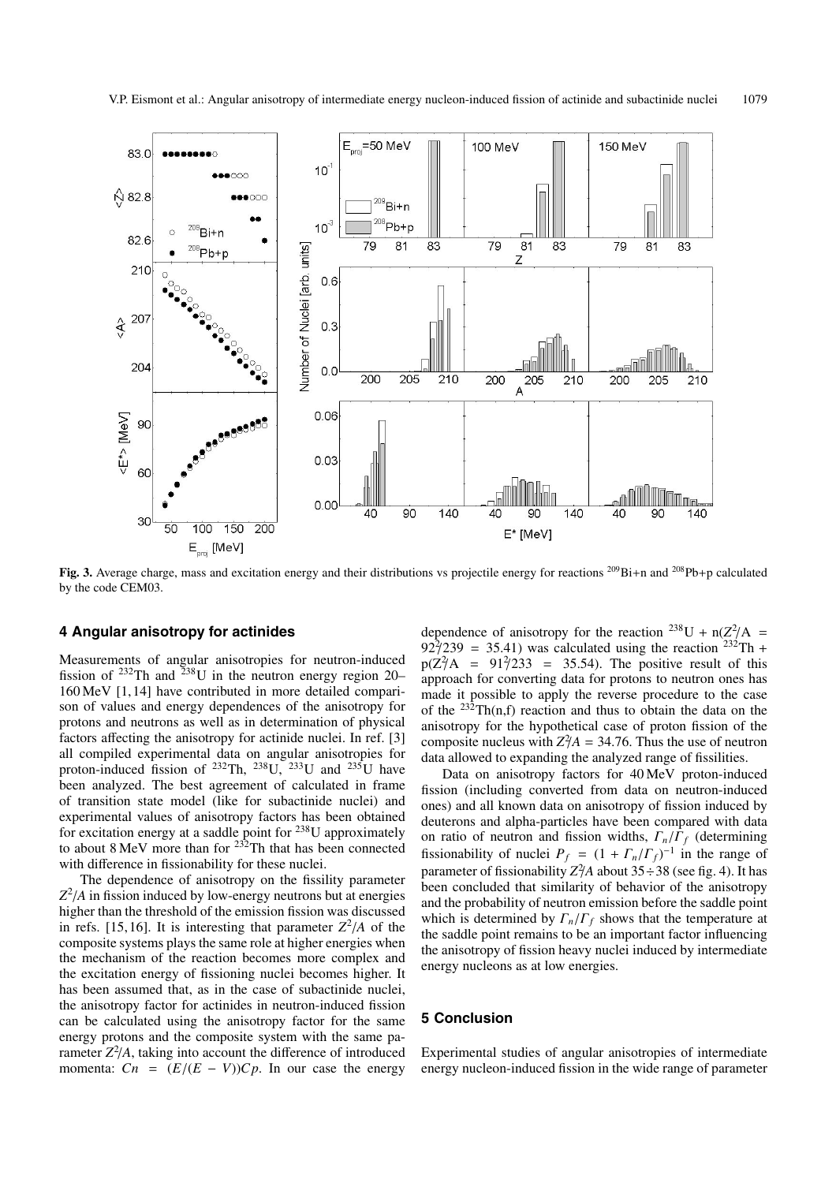

**Fig. 3.** Average charge, mass and excitation energy and their distributions vs projectile energy for reactions 209Bi+n and 208Pb+p calculated by the code CEM03.

#### **4 Angular anisotropy for actinides**

Measurements of angular anisotropies for neutron-induced fission of <sup>232</sup>Th and <sup>238</sup>U in the neutron energy region 20– 160 MeV [1, 14] have contributed in more detailed comparison of values and energy dependences of the anisotropy for protons and neutrons as well as in determination of physical factors affecting the anisotropy for actinide nuclei. In ref. [3] all compiled experimental data on angular anisotropies for proton-induced fission of  $^{232}$ Th,  $^{238}$ U,  $^{233}$ U and  $^{235}$ U have been analyzed. The best agreement of calculated in frame of transition state model (like for subactinide nuclei) and experimental values of anisotropy factors has been obtained for excitation energy at a saddle point for 238U approximately to about 8 MeV more than for <sup>232</sup>Th that has been connected with difference in fissionability for these nuclei.

The dependence of anisotropy on the fissility parameter *Z*2 /*A* in fission induced by low-energy neutrons but at energies higher than the threshold of the emission fission was discussed in refs. [15, 16]. It is interesting that parameter  $Z^2/A$  of the composite systems plays the same role at higher energies when the mechanism of the reaction becomes more complex and the excitation energy of fissioning nuclei becomes higher. It has been assumed that, as in the case of subactinide nuclei, the anisotropy factor for actinides in neutron-induced fission can be calculated using the anisotropy factor for the same energy protons and the composite system with the same parameter  $Z^2/A$ , taking into account the difference of introduced momenta:  $C_n = (E/(E - V))C_p$ . In our case the energy

dependence of anisotropy for the reaction <sup>238</sup>U +  $n(Z^2/A)$  =  $92\frac{3}{2}$ 239 = 35.41) was calculated using the reaction <sup>232</sup>Th +  $p(Z^2)A = 91^2/233 = 35.54$ . The positive result of this approach for converting data for protons to neutron ones has made it possible to apply the reverse procedure to the case of the  $^{232}Th(n,f)$  reaction and thus to obtain the data on the anisotropy for the hypothetical case of proton fission of the composite nucleus with  $Z^2/A = 34.76$ . Thus the use of neutron data allowed to expanding the analyzed range of fissilities.

Data on anisotropy factors for 40 MeV proton-induced fission (including converted from data on neutron-induced ones) and all known data on anisotropy of fission induced by deuterons and alpha-particles have been compared with data on ratio of neutron and fission widths, Γ*n*/Γ*<sup>f</sup>* (determining fissionability of nuclei  $P_f = (1 + \Gamma_n/\Gamma_f)^{-1}$  in the range of parameter of fissionability  $Z^2/A$  about  $35 \div 38$  (see fig. 4). It has been concluded that similarity of behavior of the anisotropy and the probability of neutron emission before the saddle point which is determined by  $\Gamma_n/\Gamma_f$  shows that the temperature at the saddle point remains to be an important factor influencing the anisotropy of fission heavy nuclei induced by intermediate energy nucleons as at low energies.

#### **5 Conclusion**

Experimental studies of angular anisotropies of intermediate energy nucleon-induced fission in the wide range of parameter